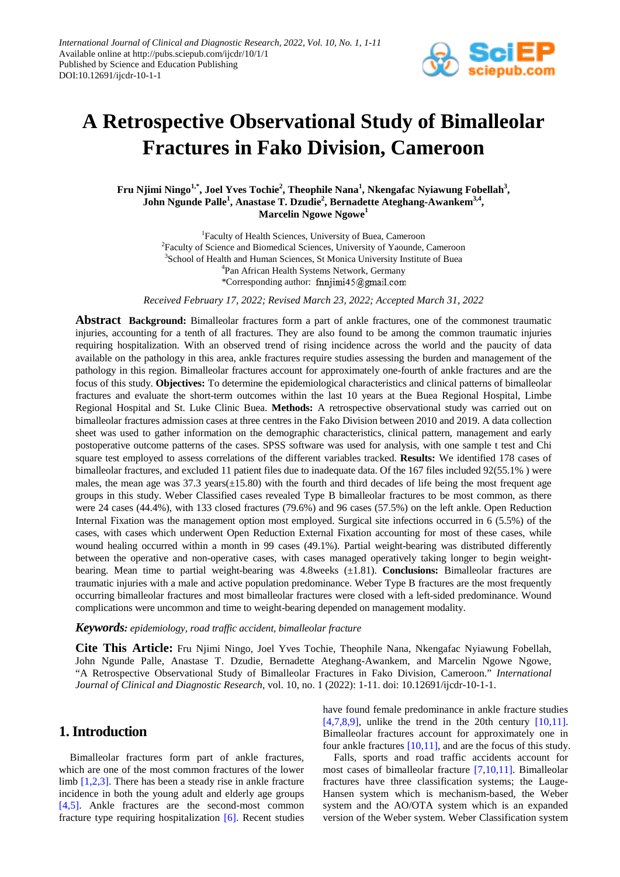

# **A Retrospective Observational Study of Bimalleolar Fractures in Fako Division, Cameroon**

**Fru Njimi Ningo1,\* , Joel Yves Tochie<sup>2</sup> , Theophile Nana<sup>1</sup> , Nkengafac Nyiawung Fobellah3 , John Ngunde Palle<sup>1</sup> , Anastase T. Dzudie<sup>2</sup> , Bernadette Ateghang-Awankem3,4, Marcelin Ngowe Ngowe<sup>1</sup>**

> <sup>1</sup>Faculty of Health Sciences, University of Buea, Cameroon <sup>2</sup> Faculty of Science and Biomedical Sciences, University of Yaounde, Cameroon <sup>3</sup>School of Health and Human Sciences, St Monica University Institute of Buea 4 Pan African Health Systems Network, Germany \*Corresponding author: finnitimi45@gmail.com

*Received February 17, 2022; Revised March 23, 2022; Accepted March 31, 2022*

**Abstract Background:** Bimalleolar fractures form a part of ankle fractures, one of the commonest traumatic injuries, accounting for a tenth of all fractures. They are also found to be among the common traumatic injuries requiring hospitalization. With an observed trend of rising incidence across the world and the paucity of data available on the pathology in this area, ankle fractures require studies assessing the burden and management of the pathology in this region. Bimalleolar fractures account for approximately one-fourth of ankle fractures and are the focus of this study. **Objectives:** To determine the epidemiological characteristics and clinical patterns of bimalleolar fractures and evaluate the short-term outcomes within the last 10 years at the Buea Regional Hospital, Limbe Regional Hospital and St. Luke Clinic Buea. **Methods:** A retrospective observational study was carried out on bimalleolar fractures admission cases at three centres in the Fako Division between 2010 and 2019. A data collection sheet was used to gather information on the demographic characteristics, clinical pattern, management and early postoperative outcome patterns of the cases. SPSS software was used for analysis, with one sample t test and Chi square test employed to assess correlations of the different variables tracked. **Results:** We identified 178 cases of bimalleolar fractures, and excluded 11 patient files due to inadequate data. Of the 167 files included 92(55.1% ) were males, the mean age was 37.3 years(±15.80) with the fourth and third decades of life being the most frequent age groups in this study. Weber Classified cases revealed Type B bimalleolar fractures to be most common, as there were 24 cases (44.4%), with 133 closed fractures (79.6%) and 96 cases (57.5%) on the left ankle. Open Reduction Internal Fixation was the management option most employed. Surgical site infections occurred in 6 (5.5%) of the cases, with cases which underwent Open Reduction External Fixation accounting for most of these cases, while wound healing occurred within a month in 99 cases (49.1%). Partial weight-bearing was distributed differently between the operative and non-operative cases, with cases managed operatively taking longer to begin weightbearing. Mean time to partial weight-bearing was 4.8weeks (±1.81). **Conclusions:** Bimalleolar fractures are traumatic injuries with a male and active population predominance. Weber Type B fractures are the most frequently occurring bimalleolar fractures and most bimalleolar fractures were closed with a left-sided predominance. Wound complications were uncommon and time to weight-bearing depended on management modality.

#### *Keywords: epidemiology, road traffic accident, bimalleolar fracture*

**Cite This Article:** Fru Njimi Ningo, Joel Yves Tochie, Theophile Nana, Nkengafac Nyiawung Fobellah, John Ngunde Palle, Anastase T. Dzudie, Bernadette Ateghang-Awankem, and Marcelin Ngowe Ngowe, "A Retrospective Observational Study of Bimalleolar Fractures in Fako Division, Cameroon." *International Journal of Clinical and Diagnostic Research*, vol. 10, no. 1 (2022): 1-11. doi: 10.12691/ijcdr-10-1-1.

# **1. Introduction**

Bimalleolar fractures form part of ankle fractures, which are one of the most common fractures of the lower limb [\[1,2,3\].](#page-9-0) There has been a steady rise in ankle fracture incidence in both the young adult and elderly age groups [\[4,5\].](#page-9-1) Ankle fractures are the second-most common fracture type requiring hospitalization [\[6\].](#page-9-2) Recent studies have found female predominance in ankle fracture studies  $[4,7,8,9]$ , unlike the trend in the 20th century  $[10,11]$ . Bimalleolar fractures account for approximately one in four ankle fractures  $[10,11]$ , and are the focus of this study.

Falls, sports and road traffic accidents account for most cases of bimalleolar fracture [\[7,10,11\].](#page-9-4) Bimalleolar fractures have three classification systems; the Lauge-Hansen system which is mechanism-based, the Weber system and the AO/OTA system which is an expanded version of the Weber system. Weber Classification system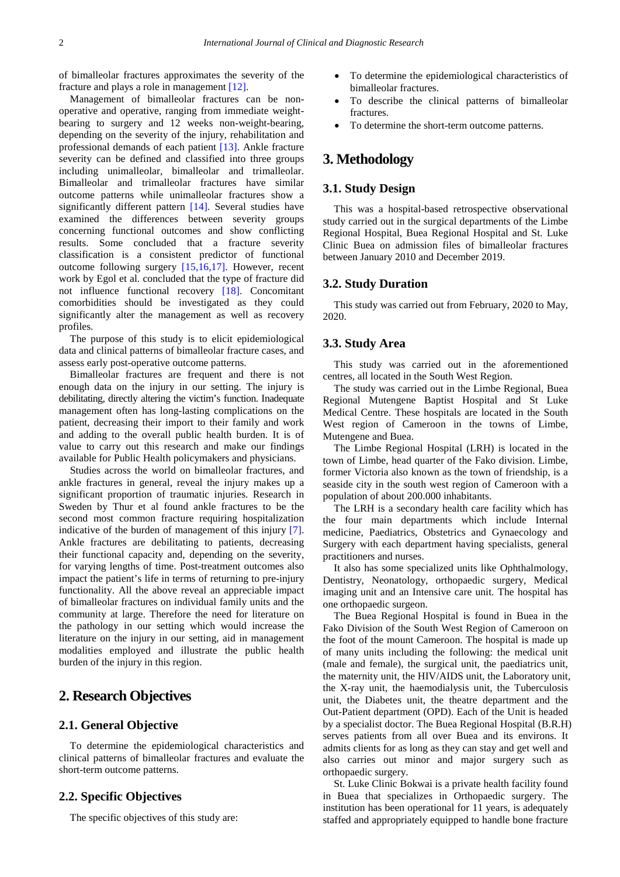of bimalleolar fractures approximates the severity of the fracture and plays a role in managemen[t \[12\].](#page-9-5)

Management of bimalleolar fractures can be nonoperative and operative, ranging from immediate weightbearing to surgery and 12 weeks non-weight-bearing, depending on the severity of the injury, rehabilitation and professional demands of each patient [\[13\].](#page-9-6) Ankle fracture severity can be defined and classified into three groups including unimalleolar, bimalleolar and trimalleolar. Bimalleolar and trimalleolar fractures have similar outcome patterns while unimalleolar fractures show a significantly different pattern [\[14\].](#page-9-7) Several studies have examined the differences between severity groups concerning functional outcomes and show conflicting results. Some concluded that a fracture severity classification is a consistent predictor of functional outcome following surgery [\[15,16,17\].](#page-9-8) However, recent work by Egol et al. concluded that the type of fracture did not influence functional recovery [\[18\].](#page-9-9) Concomitant comorbidities should be investigated as they could significantly alter the management as well as recovery profiles.

The purpose of this study is to elicit epidemiological data and clinical patterns of bimalleolar fracture cases, and assess early post-operative outcome patterns.

Bimalleolar fractures are frequent and there is not enough data on the injury in our setting. The injury is debilitating, directly altering the victim's function. Inadequate management often has long-lasting complications on the patient, decreasing their import to their family and work and adding to the overall public health burden. It is of value to carry out this research and make our findings available for Public Health policymakers and physicians.

Studies across the world on bimalleolar fractures, and ankle fractures in general, reveal the injury makes up a significant proportion of traumatic injuries. Research in Sweden by Thur et al found ankle fractures to be the second most common fracture requiring hospitalization indicative of the burden of management of this injury [\[7\].](#page-9-4) Ankle fractures are debilitating to patients, decreasing their functional capacity and, depending on the severity, for varying lengths of time. Post-treatment outcomes also impact the patient's life in terms of returning to pre-injury functionality. All the above reveal an appreciable impact of bimalleolar fractures on individual family units and the community at large. Therefore the need for literature on the pathology in our setting which would increase the literature on the injury in our setting, aid in management modalities employed and illustrate the public health burden of the injury in this region.

# **2. Research Objectives**

### **2.1. General Objective**

To determine the epidemiological characteristics and clinical patterns of bimalleolar fractures and evaluate the short-term outcome patterns.

### **2.2. Specific Objectives**

The specific objectives of this study are:

- To determine the epidemiological characteristics of bimalleolar fractures.
- To describe the clinical patterns of bimalleolar fractures.
- To determine the short-term outcome patterns.

# **3. Methodology**

### **3.1. Study Design**

This was a hospital-based retrospective observational study carried out in the surgical departments of the Limbe Regional Hospital, Buea Regional Hospital and St. Luke Clinic Buea on admission files of bimalleolar fractures between January 2010 and December 2019.

#### **3.2. Study Duration**

This study was carried out from February, 2020 to May, 2020.

### **3.3. Study Area**

This study was carried out in the aforementioned centres, all located in the South West Region.

The study was carried out in the Limbe Regional, Buea Regional Mutengene Baptist Hospital and St Luke Medical Centre. These hospitals are located in the South West region of Cameroon in the towns of Limbe, Mutengene and Buea.

The Limbe Regional Hospital (LRH) is located in the town of Limbe, head quarter of the Fako division. Limbe, former Victoria also known as the town of friendship, is a seaside city in the south west region of Cameroon with a population of about 200.000 inhabitants.

The LRH is a secondary health care facility which has the four main departments which include Internal medicine, Paediatrics, Obstetrics and Gynaecology and Surgery with each department having specialists, general practitioners and nurses.

It also has some specialized units like Ophthalmology, Dentistry, Neonatology, orthopaedic surgery, Medical imaging unit and an Intensive care unit. The hospital has one orthopaedic surgeon.

The Buea Regional Hospital is found in Buea in the Fako Division of the South West Region of Cameroon on the foot of the mount Cameroon. The hospital is made up of many units including the following: the medical unit (male and female), the surgical unit, the paediatrics unit, the maternity unit, the HIV/AIDS unit, the Laboratory unit, the X-ray unit, the haemodialysis unit, the Tuberculosis unit, the Diabetes unit, the theatre department and the Out-Patient department (OPD). Each of the Unit is headed by a specialist doctor. The Buea Regional Hospital (B.R.H) serves patients from all over Buea and its environs. It admits clients for as long as they can stay and get well and also carries out minor and major surgery such as orthopaedic surgery.

St. Luke Clinic Bokwai is a private health facility found in Buea that specializes in Orthopaedic surgery. The institution has been operational for 11 years, is adequately staffed and appropriately equipped to handle bone fracture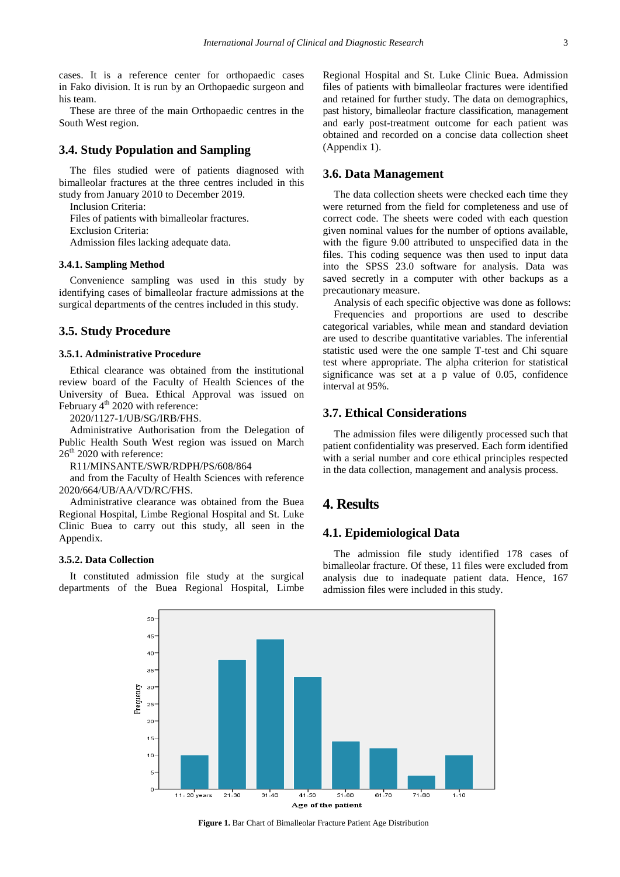cases. It is a reference center for orthopaedic cases in Fako division. It is run by an Orthopaedic surgeon and his team.

These are three of the main Orthopaedic centres in the South West region.

### **3.4. Study Population and Sampling**

The files studied were of patients diagnosed with bimalleolar fractures at the three centres included in this study from January 2010 to December 2019.

Inclusion Criteria:

Files of patients with bimalleolar fractures.

Exclusion Criteria:

Admission files lacking adequate data.

#### **3.4.1. Sampling Method**

Convenience sampling was used in this study by identifying cases of bimalleolar fracture admissions at the surgical departments of the centres included in this study.

### **3.5. Study Procedure**

#### **3.5.1. Administrative Procedure**

Ethical clearance was obtained from the institutional review board of the Faculty of Health Sciences of the University of Buea. Ethical Approval was issued on February  $4<sup>th</sup>$  2020 with reference:

2020/1127-1/UB/SG/IRB/FHS.

Administrative Authorisation from the Delegation of Public Health South West region was issued on March  $26<sup>th</sup>$  2020 with reference:

R11/MINSANTE/SWR/RDPH/PS/608/864

and from the Faculty of Health Sciences with reference 2020/664/UB/AA/VD/RC/FHS.

Administrative clearance was obtained from the Buea Regional Hospital, Limbe Regional Hospital and St. Luke Clinic Buea to carry out this study, all seen in the Appendix.

#### **3.5.2. Data Collection**

<span id="page-2-0"></span>It constituted admission file study at the surgical departments of the Buea Regional Hospital, Limbe Regional Hospital and St. Luke Clinic Buea. Admission files of patients with bimalleolar fractures were identified and retained for further study. The data on demographics, past history, bimalleolar fracture classification, management and early post-treatment outcome for each patient was obtained and recorded on a concise data collection sheet (Appendix 1).

#### **3.6. Data Management**

The data collection sheets were checked each time they were returned from the field for completeness and use of correct code. The sheets were coded with each question given nominal values for the number of options available, with the figure 9.00 attributed to unspecified data in the files. This coding sequence was then used to input data into the SPSS 23.0 software for analysis. Data was saved secretly in a computer with other backups as a precautionary measure.

Analysis of each specific objective was done as follows: Frequencies and proportions are used to describe categorical variables, while mean and standard deviation are used to describe quantitative variables. The inferential statistic used were the one sample T-test and Chi square test where appropriate. The alpha criterion for statistical significance was set at a p value of 0.05, confidence interval at 95%.

### **3.7. Ethical Considerations**

The admission files were diligently processed such that patient confidentiality was preserved. Each form identified with a serial number and core ethical principles respected in the data collection, management and analysis process.

# **4. Results**

# **4.1. Epidemiological Data**

The admission file study identified 178 cases of bimalleolar fracture. Of these, 11 files were excluded from analysis due to inadequate patient data. Hence, 167 admission files were included in this study.



**Figure 1.** Bar Chart of Bimalleolar Fracture Patient Age Distribution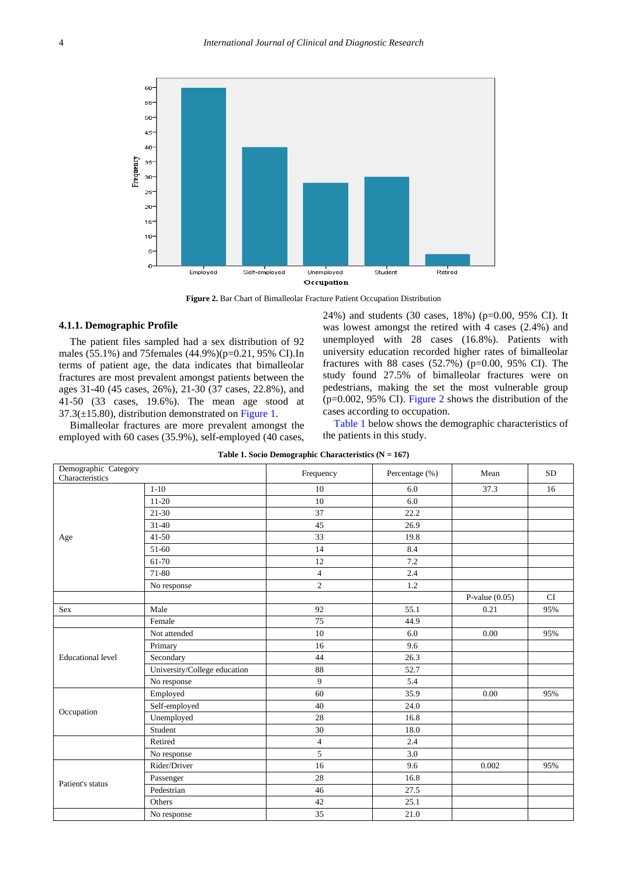<span id="page-3-0"></span>

**Figure 2.** Bar Chart of Bimalleolar Fracture Patient Occupation Distribution

#### **4.1.1. Demographic Profile**

The patient files sampled had a sex distribution of 92 males (55.1%) and 75females (44.9%)(p=0.21, 95% CI).In terms of patient age, the data indicates that bimalleolar fractures are most prevalent amongst patients between the ages 31-40 (45 cases, 26%), 21-30 (37 cases, 22.8%), and 41-50 (33 cases, 19.6%). The mean age stood at  $37.3(\pm 15.80)$ , distribution demonstrated on [Figure 1.](#page-2-0)

Bimalleolar fractures are more prevalent amongst the employed with 60 cases (35.9%), self-employed (40 cases, 24%) and students (30 cases, 18%) (p=0.00, 95% CI). It was lowest amongst the retired with 4 cases (2.4%) and unemployed with 28 cases (16.8%). Patients with university education recorded higher rates of bimalleolar fractures with 88 cases  $(52.7%)$  (p=0.00, 95% CI). The study found 27.5% of bimalleolar fractures were on pedestrians, making the set the most vulnerable group (p=0.002, 95% CI). [Figure 2](#page-3-0) shows the distribution of the cases according to occupation.

[Table 1](#page-3-1) below shows the demographic characteristics of the patients in this study.

<span id="page-3-1"></span>

| Demographic Category     |                              | Frequency      | Percentage (%) | Mean             | <b>SD</b> |
|--------------------------|------------------------------|----------------|----------------|------------------|-----------|
| Characteristics          |                              |                |                |                  |           |
|                          | $1 - 10$                     | 10             | 6.0            | 37.3             | 16        |
|                          | $11-20$                      | 10             | 6.0            |                  |           |
|                          | $21 - 30$                    | 37             | 22.2           |                  |           |
|                          | $31 - 40$                    | 45             | 26.9           |                  |           |
| Age                      | $41 - 50$                    | 33             | 19.8           |                  |           |
|                          | 51-60                        | 14             | 8.4            |                  |           |
|                          | 61-70                        | 12             | 7.2            |                  |           |
|                          | 71-80                        | $\overline{4}$ | 2.4            |                  |           |
|                          | No response                  | $\overline{2}$ | 1.2            |                  |           |
|                          |                              |                |                | P-value $(0.05)$ | CI        |
| <b>Sex</b>               | Male                         | 92             | 55.1           | 0.21             | 95%       |
|                          | Female                       | 75             | 44.9           |                  |           |
|                          | Not attended                 | 10             | 6.0            | 0.00             | 95%       |
|                          | Primary                      | 16             | 9.6            |                  |           |
| <b>Educational level</b> | Secondary                    | 44             | 26.3           |                  |           |
|                          | University/College education | 88             | 52.7           |                  |           |
|                          | No response                  | 9              | 5.4            |                  |           |
|                          | Employed                     | 60             | 35.9           | 0.00             | 95%       |
| Occupation               | Self-employed                | 40             | 24.0           |                  |           |
|                          | Unemployed                   | 28             | 16.8           |                  |           |
|                          | Student                      | 30             | 18.0           |                  |           |
|                          | Retired                      | $\overline{4}$ | 2.4            |                  |           |
|                          | No response                  | 5              | 3.0            |                  |           |
|                          | Rider/Driver                 | 16             | 9.6            | 0.002            | 95%       |
| Patient's status         | Passenger                    | 28             | 16.8           |                  |           |
|                          | Pedestrian                   | 46             | 27.5           |                  |           |
|                          | Others                       | 42             | 25.1           |                  |           |
|                          | No response                  | 35             | 21.0           |                  |           |

**Table 1. Socio Demographic Characteristics (N = 167)**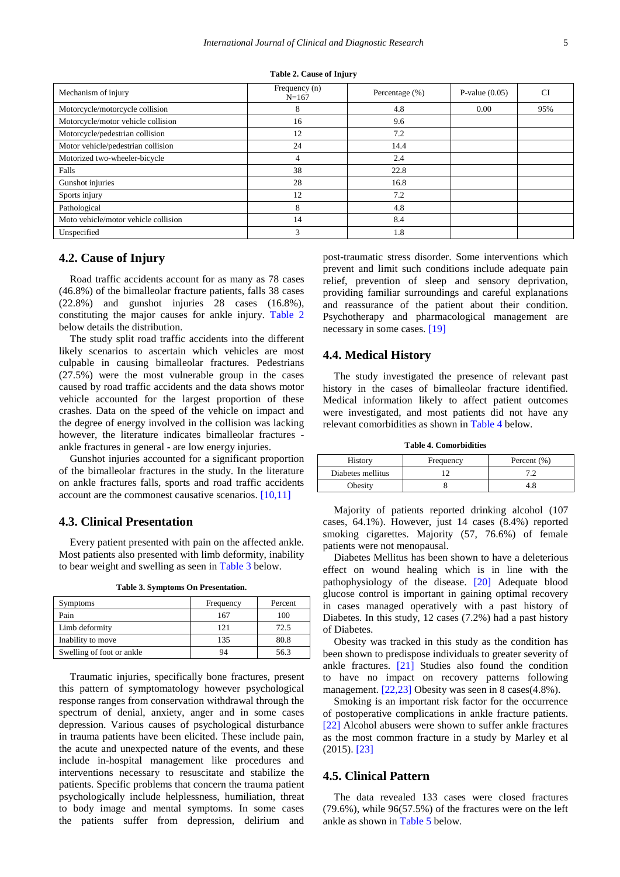<span id="page-4-0"></span>

| Mechanism of injury                  | Frequency (n)<br>$N = 167$ | Percentage $(\%)$ | P-value $(0.05)$ | CI  |
|--------------------------------------|----------------------------|-------------------|------------------|-----|
| Motorcycle/motorcycle collision      | 8                          | 4.8               | 0.00             | 95% |
| Motorcycle/motor vehicle collision   | 16                         | 9.6               |                  |     |
| Motorcycle/pedestrian collision      | 12                         | 7.2               |                  |     |
| Motor vehicle/pedestrian collision   | 24                         | 14.4              |                  |     |
| Motorized two-wheeler-bicycle        | 4                          | 2.4               |                  |     |
| Falls                                | 38                         | 22.8              |                  |     |
| Gunshot injuries                     | 28                         | 16.8              |                  |     |
| Sports injury                        | 12                         | 7.2               |                  |     |
| Pathological                         | 8                          | 4.8               |                  |     |
| Moto vehicle/motor vehicle collision | 14                         | 8.4               |                  |     |
| Unspecified                          | 3                          | 1.8               |                  |     |

**Table 2. Cause of Injury**

## **4.2. Cause of Injury**

Road traffic accidents account for as many as 78 cases (46.8%) of the bimalleolar fracture patients, falls 38 cases (22.8%) and gunshot injuries 28 cases (16.8%), constituting the major causes for ankle injury. [Table 2](#page-4-0) below details the distribution.

The study split road traffic accidents into the different likely scenarios to ascertain which vehicles are most culpable in causing bimalleolar fractures. Pedestrians (27.5%) were the most vulnerable group in the cases caused by road traffic accidents and the data shows motor vehicle accounted for the largest proportion of these crashes. Data on the speed of the vehicle on impact and the degree of energy involved in the collision was lacking however, the literature indicates bimalleolar fractures ankle fractures in general - are low energy injuries.

Gunshot injuries accounted for a significant proportion of the bimalleolar fractures in the study. In the literature on ankle fractures falls, sports and road traffic accidents account are the commonest causative scenarios. [\[10,11\]](#page-9-3)

### **4.3. Clinical Presentation**

Every patient presented with pain on the affected ankle. Most patients also presented with limb deformity, inability to bear weight and swelling as seen in [Table 3](#page-4-1) below.

**Table 3. Symptoms On Presentation.**

<span id="page-4-1"></span>

| <b>Symptoms</b>           | Frequency | Percent |
|---------------------------|-----------|---------|
| Pain                      | 167       | 100     |
| Limb deformity            | 121       | 72.5    |
| Inability to move         | 135       | 80.8    |
| Swelling of foot or ankle | 94        | 56.3    |

Traumatic injuries, specifically bone fractures, present this pattern of symptomatology however psychological response ranges from conservation withdrawal through the spectrum of denial, anxiety, anger and in some cases depression. Various causes of psychological disturbance in trauma patients have been elicited. These include pain, the acute and unexpected nature of the events, and these include in-hospital management like procedures and interventions necessary to resuscitate and stabilize the patients. Specific problems that concern the trauma patient psychologically include helplessness, humiliation, threat to body image and mental symptoms. In some cases the patients suffer from depression, delirium and

post-traumatic stress disorder. Some interventions which prevent and limit such conditions include adequate pain relief, prevention of sleep and sensory deprivation, providing familiar surroundings and careful explanations and reassurance of the patient about their condition. Psychotherapy and pharmacological management are necessary in some cases. [\[19\]](#page-9-10)

### **4.4. Medical History**

The study investigated the presence of relevant past history in the cases of bimalleolar fracture identified. Medical information likely to affect patient outcomes were investigated, and most patients did not have any relevant comorbidities as shown in [Table 4](#page-4-2) below.

**Table 4. Comorbidities**

<span id="page-4-2"></span>

| History           | Frequency | Percent $(\% )$ |
|-------------------|-----------|-----------------|
| Diabetes mellitus |           |                 |
| Obesity           |           | 4.≀             |

Majority of patients reported drinking alcohol (107 cases, 64.1%). However, just 14 cases (8.4%) reported smoking cigarettes. Majority (57, 76.6%) of female patients were not menopausal.

Diabetes Mellitus has been shown to have a deleterious effect on wound healing which is in line with the pathophysiology of the disease. [\[20\]](#page-9-11) Adequate blood glucose control is important in gaining optimal recovery in cases managed operatively with a past history of Diabetes. In this study, 12 cases (7.2%) had a past history of Diabetes.

Obesity was tracked in this study as the condition has been shown to predispose individuals to greater severity of ankle fractures. [\[21\]](#page-9-12) Studies also found the condition to have no impact on recovery patterns following management. [\[22,23\]](#page-9-13) Obesity was seen in 8 cases(4.8%).

Smoking is an important risk factor for the occurrence of postoperative complications in ankle fracture patients. [\[22\]](#page-9-13) Alcohol abusers were shown to suffer ankle fractures as the most common fracture in a study by Marley et al (2015). [\[23\]](#page-9-14)

### **4.5. Clinical Pattern**

The data revealed 133 cases were closed fractures (79.6%), while 96(57.5%) of the fractures were on the left ankle as shown in [Table 5](#page-5-0) below.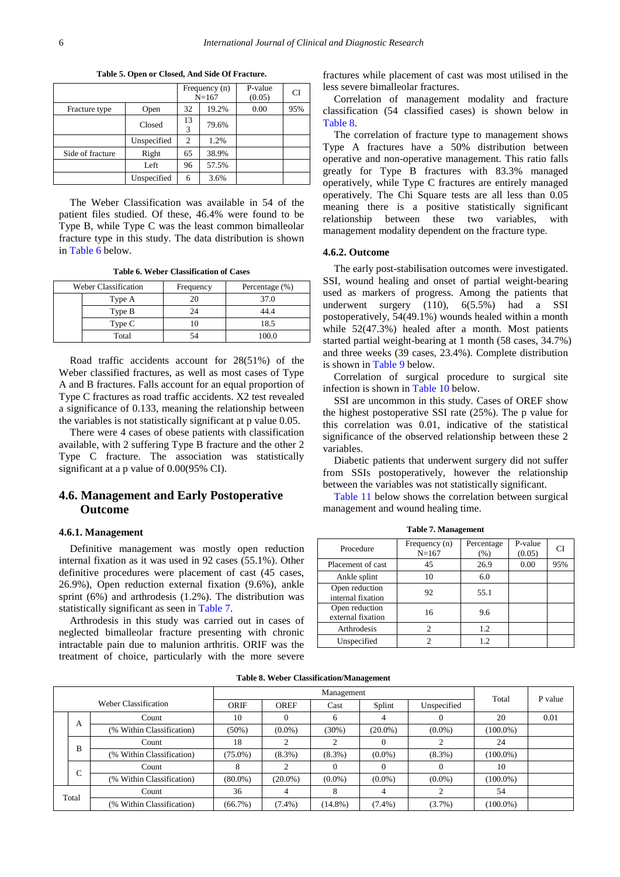<span id="page-5-0"></span>

|                  |             |         | Frequency (n)<br>$N = 167$ | P-value<br>(0.05) | CI  |
|------------------|-------------|---------|----------------------------|-------------------|-----|
| Fracture type    | Open        | 32      | 19.2%                      | 0.00              | 95% |
|                  | Closed      | 13<br>3 | 79.6%                      |                   |     |
|                  | Unspecified | 2       | 1.2%                       |                   |     |
| Side of fracture | Right       | 65      | 38.9%                      |                   |     |
|                  | Left        | 96      | 57.5%                      |                   |     |
|                  | Unspecified | 6       | 3.6%                       |                   |     |

**Table 5. Open or Closed, And Side Of Fracture.**

The Weber Classification was available in 54 of the patient files studied. Of these, 46.4% were found to be Type B, while Type C was the least common bimalleolar fracture type in this study. The data distribution is shown in [Table 6](#page-5-1) below.

**Table 6. Weber Classification of Cases**

<span id="page-5-1"></span>

| <b>Weber Classification</b> | Frequency | Percentage (%) |
|-----------------------------|-----------|----------------|
| Type A                      |           | 37.0           |
| Type B                      |           | 44 4           |
| Type C                      |           | 18.5           |
| Total                       |           | 100.0          |

Road traffic accidents account for 28(51%) of the Weber classified fractures, as well as most cases of Type A and B fractures. Falls account for an equal proportion of Type C fractures as road traffic accidents. X2 test revealed a significance of 0.133, meaning the relationship between the variables is not statistically significant at p value 0.05.

There were 4 cases of obese patients with classification available, with 2 suffering Type B fracture and the other 2 Type C fracture. The association was statistically significant at a p value of 0.00(95% CI).

### **4.6. Management and Early Postoperative Outcome**

#### **4.6.1. Management**

Definitive management was mostly open reduction internal fixation as it was used in 92 cases (55.1%). Other definitive procedures were placement of cast (45 cases, 26.9%), Open reduction external fixation (9.6%), ankle sprint (6%) and arthrodesis (1.2%). The distribution was statistically significant as seen in [Table 7.](#page-5-2)

Arthrodesis in this study was carried out in cases of neglected bimalleolar fracture presenting with chronic intractable pain due to malunion arthritis. ORIF was the treatment of choice, particularly with the more severe fractures while placement of cast was most utilised in the less severe bimalleolar fractures.

Correlation of management modality and fracture classification (54 classified cases) is shown below in [Table 8.](#page-5-3)

The correlation of fracture type to management shows Type A fractures have a 50% distribution between operative and non-operative management. This ratio falls greatly for Type B fractures with 83.3% managed operatively, while Type C fractures are entirely managed operatively. The Chi Square tests are all less than 0.05 meaning there is a positive statistically significant relationship between these two variables, with management modality dependent on the fracture type.

#### **4.6.2. Outcome**

The early post-stabilisation outcomes were investigated. SSI, wound healing and onset of partial weight-bearing used as markers of progress. Among the patients that underwent surgery (110), 6(5.5%) had a SSI postoperatively, 54(49.1%) wounds healed within a month while 52(47.3%) healed after a month. Most patients started partial weight-bearing at 1 month (58 cases, 34.7%) and three weeks (39 cases, 23.4%). Complete distribution is shown in [Table 9](#page-6-0) below.

Correlation of surgical procedure to surgical site infection is shown in [Table 10](#page-6-1) below.

SSI are uncommon in this study. Cases of OREF show the highest postoperative SSI rate (25%). The p value for this correlation was 0.01, indicative of the statistical significance of the observed relationship between these 2 variables.

Diabetic patients that underwent surgery did not suffer from SSIs postoperatively, however the relationship between the variables was not statistically significant.

[Table 11](#page-6-2) below shows the correlation between surgical management and wound healing time.

<span id="page-5-2"></span>

| Procedure                           | Frequency $(n)$<br>$N = 167$ | Percentage<br>(% ) | P-value<br>(0.05) | СI  |
|-------------------------------------|------------------------------|--------------------|-------------------|-----|
| Placement of cast                   | 45                           | 26.9               | 0.00              | 95% |
| Ankle splint                        | 10                           | 6.0                |                   |     |
| Open reduction<br>internal fixation | 92                           | 55.1               |                   |     |
| Open reduction<br>external fixation | 16                           | 9.6                |                   |     |
| Arthrodesis                         | っ                            | 1.2                |                   |     |
| Unspecified                         |                              | 12.                |                   |     |

**Table 7. Management**

|  |  | <b>Table 8. Weber Classification/Management</b> |  |
|--|--|-------------------------------------------------|--|
|--|--|-------------------------------------------------|--|

<span id="page-5-3"></span>

|       |   | Management                |            |             |            |            |             |             |         |
|-------|---|---------------------------|------------|-------------|------------|------------|-------------|-------------|---------|
|       |   | Weber Classification      | ORIF       | <b>OREF</b> | Cast       | Splint     | Unspecified | Total       | P value |
|       |   | Count                     | 10         |             | 6          |            | $\Omega$    | 20          | 0.01    |
|       | A | (% Within Classification) | $(50\%)$   | $(0.0\%)$   | (30%)      | $(20.0\%)$ | $(0.0\%)$   | $(100.0\%)$ |         |
|       | B | Count                     | 18         |             |            |            |             | 24          |         |
|       |   | (% Within Classification) | $(75.0\%)$ | $(8.3\%)$   | $(8.3\%)$  | $(0.0\%)$  | $(8.3\%)$   | $(100.0\%)$ |         |
|       | C | Count                     |            |             |            |            | $\Omega$    | 10          |         |
|       |   | (% Within Classification) | $(80.0\%)$ | $(20.0\%)$  | $(0.0\%)$  | $(0.0\%)$  | $(0.0\%)$   | $(100.0\%)$ |         |
| Total |   | Count                     | 36         | 4           | 8          | 4          |             | 54          |         |
|       |   | (% Within Classification) | $(66.7\%)$ | $(7.4\%)$   | $(14.8\%)$ | $(7.4\%)$  | $(3.7\%)$   | $(100.0\%)$ |         |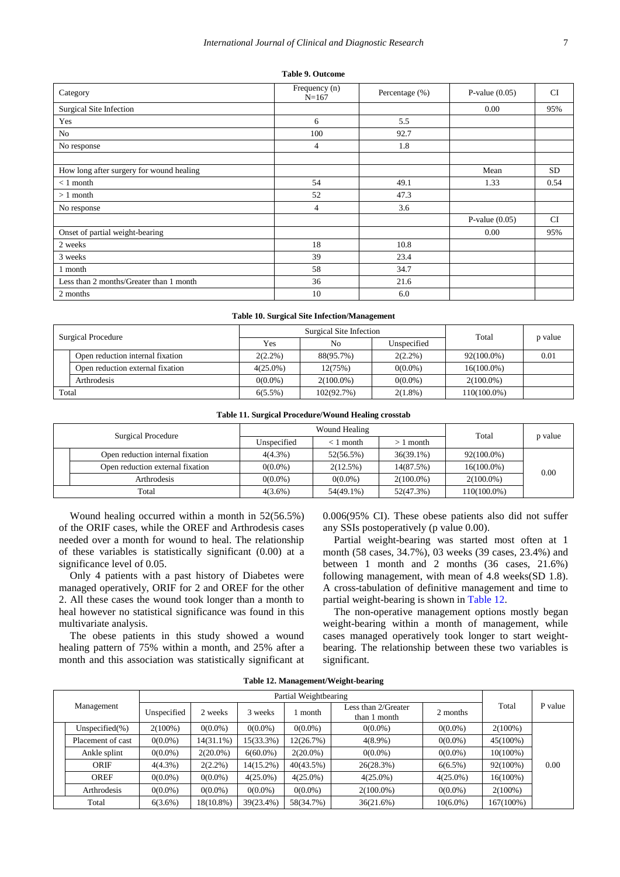#### **Table 9. Outcome**

<span id="page-6-0"></span>

| Category                                 | Frequency (n)<br>$N = 167$ | Percentage (%) | P-value $(0.05)$ | <b>CI</b> |
|------------------------------------------|----------------------------|----------------|------------------|-----------|
| Surgical Site Infection                  |                            |                | 0.00             | 95%       |
| Yes                                      | 6                          | 5.5            |                  |           |
| No                                       | 100                        | 92.7           |                  |           |
| No response                              | $\overline{4}$             | 1.8            |                  |           |
|                                          |                            |                |                  |           |
| How long after surgery for wound healing |                            |                | Mean             | <b>SD</b> |
| $< 1$ month                              | 54                         | 49.1           | 1.33             | 0.54      |
| $>1$ month                               | 52                         | 47.3           |                  |           |
| No response                              | $\overline{4}$             | 3.6            |                  |           |
|                                          |                            |                | P-value $(0.05)$ | <b>CI</b> |
| Onset of partial weight-bearing          |                            |                | 0.00             | 95%       |
| 2 weeks                                  | 18                         | 10.8           |                  |           |
| 3 weeks                                  | 39                         | 23.4           |                  |           |
| 1 month                                  | 58                         | 34.7           |                  |           |
| Less than 2 months/Greater than 1 month  | 36                         | 21.6           |                  |           |
| 2 months                                 | 10                         | 6.0            |                  |           |

#### **Table 10. Surgical Site Infection/Management**

<span id="page-6-1"></span>

| Surgical Procedure |                                  |             | Surgical Site Infection | Total       |                |         |
|--------------------|----------------------------------|-------------|-------------------------|-------------|----------------|---------|
|                    |                                  | Yes         | N <sub>0</sub>          | Unspecified |                | p value |
|                    | Open reduction internal fixation | $2(2.2\%)$  | 88(95.7%)               | $2(2.2\%)$  | $92(100.0\%)$  | 0.01    |
|                    | Open reduction external fixation | $4(25.0\%)$ | 12(75%)                 | $0(0.0\%)$  | $16(100.0\%)$  |         |
|                    | Arthrodesis                      | $0(0.0\%)$  | $2(100.0\%)$            | $0(0.0\%)$  | $2(100.0\%)$   |         |
| Total              |                                  | $6(5.5\%)$  | 102(92.7%)              | $2(1.8\%)$  | $110(100.0\%)$ |         |

#### **Table 11. Surgical Procedure/Wound Healing crosstab**

<span id="page-6-2"></span>

| Surgical Procedure |                                  |             | Wound Healing | Total        |               |         |  |
|--------------------|----------------------------------|-------------|---------------|--------------|---------------|---------|--|
|                    |                                  | Unspecified | $< 1$ month   | 1 month      |               | p value |  |
|                    | Open reduction internal fixation | $4(4.3\%)$  | 52(56.5%)     | $36(39.1\%)$ | $92(100.0\%)$ |         |  |
|                    | Open reduction external fixation | $0(0.0\%)$  | 2(12.5%)      | 14(87.5%)    | $16(100.0\%)$ |         |  |
|                    | Arthrodesis                      | $0(0.0\%)$  | $0(0.0\%)$    | $2(100.0\%)$ | $2(100.0\%)$  | 0.00    |  |
|                    | Total                            | $4(3.6\%)$  | 54(49.1%)     | 52(47.3%)    | 110(100.0%)   |         |  |

Wound healing occurred within a month in 52(56.5%) of the ORIF cases, while the OREF and Arthrodesis cases needed over a month for wound to heal. The relationship of these variables is statistically significant (0.00) at a significance level of 0.05.

Only 4 patients with a past history of Diabetes were managed operatively, ORIF for 2 and OREF for the other 2. All these cases the wound took longer than a month to heal however no statistical significance was found in this multivariate analysis.

The obese patients in this study showed a wound healing pattern of 75% within a month, and 25% after a month and this association was statistically significant at 0.006(95% CI). These obese patients also did not suffer any SSIs postoperatively (p value 0.00).

Partial weight-bearing was started most often at 1 month (58 cases, 34.7%), 03 weeks (39 cases, 23.4%) and between 1 month and 2 months (36 cases, 21.6%) following management, with mean of 4.8 weeks(SD 1.8). A cross-tabulation of definitive management and time to partial weight-bearing is shown in [Table 12.](#page-6-3)

The non-operative management options mostly began weight-bearing within a month of management, while cases managed operatively took longer to start weightbearing. The relationship between these two variables is significant.

<span id="page-6-3"></span>

| Management |                     | Partial Weightbearing |              |             |             |                                     |             |             |         |
|------------|---------------------|-----------------------|--------------|-------------|-------------|-------------------------------------|-------------|-------------|---------|
|            |                     | Unspecified           | 2 weeks      | 3 weeks     | month       | Less than 2/Greater<br>than 1 month | 2 months    | Total       | P value |
|            | Unspecified $(\% )$ | $2(100\%)$            | $0(0.0\%)$   | $0(0.0\%)$  | $0(0.0\%)$  | $0(0.0\%)$                          | $0(0.0\%)$  | $2(100\%)$  | 0.00    |
|            | Placement of cast   | $0(0.0\%)$            | $14(31.1\%)$ | 15(33.3%)   | 12(26.7%)   | $4(8.9\%)$                          | $0(0.0\%)$  | 45(100%)    |         |
|            | Ankle splint        | $0(0.0\%)$            | $2(20.0\%)$  | $6(60.0\%)$ | $2(20.0\%)$ | $0(0.0\%)$                          | $0(0.0\%)$  | $10(100\%)$ |         |
|            | ORIF                | $4(4.3\%)$            | $2(2.2\%)$   | 14(15.2%)   | 40(43.5%)   | 26(28.3%)                           | $6(6.5\%)$  | 92(100%)    |         |
|            | <b>OREF</b>         | $0(0.0\%)$            | $0(0.0\%)$   | $4(25.0\%)$ | $4(25.0\%)$ | $4(25.0\%)$                         | $4(25.0\%)$ | 16(100%)    |         |
|            | Arthrodesis         | $0(0.0\%)$            | $0(0.0\%)$   | $0(0.0\%)$  | $0(0.0\%)$  | $2(100.0\%)$                        | $0(0.0\%)$  | $2(100\%)$  |         |
| Total      |                     | $6(3.6\%)$            | 18(10.8%)    | 39(23.4%)   | 58(34.7%)   | 36(21.6%)                           | $10(6.0\%)$ | 167(100%)   |         |

**Table 12. Management/Weight-bearing**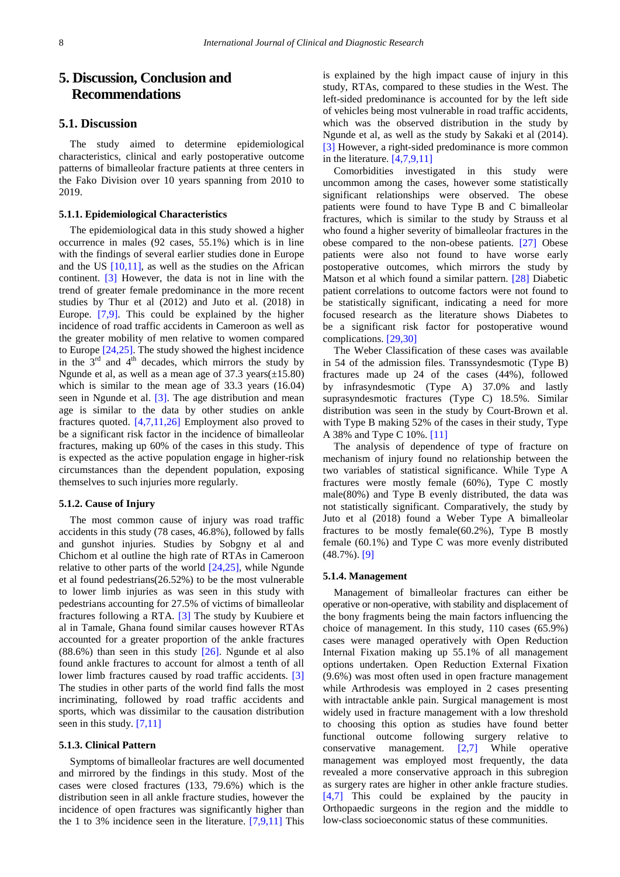# **5. Discussion, Conclusion and Recommendations**

### **5.1. Discussion**

The study aimed to determine epidemiological characteristics, clinical and early postoperative outcome patterns of bimalleolar fracture patients at three centers in the Fako Division over 10 years spanning from 2010 to 2019.

#### **5.1.1. Epidemiological Characteristics**

The epidemiological data in this study showed a higher occurrence in males (92 cases, 55.1%) which is in line with the findings of several earlier studies done in Europe and the US  $[10,11]$ , as well as the studies on the African continent. [\[3\]](#page-9-15) However, the data is not in line with the trend of greater female predominance in the more recent studies by Thur et al (2012) and Juto et al. (2018) in Europe. [\[7,9\].](#page-9-4) This could be explained by the higher incidence of road traffic accidents in Cameroon as well as the greater mobility of men relative to women compared to Europe [\[24,25\].](#page-9-16) The study showed the highest incidence in the  $3<sup>rd</sup>$  and  $4<sup>th</sup>$  decades, which mirrors the study by Ngunde et al, as well as a mean age of  $37.3$  years( $\pm 15.80$ ) which is similar to the mean age of 33.3 years (16.04) seen in Ngunde et al. [\[3\].](#page-9-15) The age distribution and mean age is similar to the data by other studies on ankle fractures quoted. [\[4,7,11,26\]](#page-9-1) Employment also proved to be a significant risk factor in the incidence of bimalleolar fractures, making up 60% of the cases in this study. This is expected as the active population engage in higher-risk circumstances than the dependent population, exposing themselves to such injuries more regularly.

#### **5.1.2. Cause of Injury**

The most common cause of injury was road traffic accidents in this study (78 cases, 46.8%), followed by falls and gunshot injuries. Studies by Sobgny et al and Chichom et al outline the high rate of RTAs in Cameroon relative to other parts of the world [\[24,25\],](#page-9-16) while Ngunde et al found pedestrians(26.52%) to be the most vulnerable to lower limb injuries as was seen in this study with pedestrians accounting for 27.5% of victims of bimalleolar fractures following a RTA. [\[3\]](#page-9-15) The study by Kuubiere et al in Tamale, Ghana found similar causes however RTAs accounted for a greater proportion of the ankle fractures  $(88.6\%)$  than seen in this study  $[26]$ . Ngunde et al also found ankle fractures to account for almost a tenth of all lower limb fractures caused by road traffic accidents. [\[3\]](#page-9-15) The studies in other parts of the world find falls the most incriminating, followed by road traffic accidents and sports, which was dissimilar to the causation distribution seen in this study. [\[7,11\]](#page-9-4)

### **5.1.3. Clinical Pattern**

Symptoms of bimalleolar fractures are well documented and mirrored by the findings in this study. Most of the cases were closed fractures (133, 79.6%) which is the distribution seen in all ankle fracture studies, however the incidence of open fractures was significantly higher than the 1 to 3% incidence seen in the literature. [\[7,9,11\]](#page-9-4) This is explained by the high impact cause of injury in this study, RTAs, compared to these studies in the West. The left-sided predominance is accounted for by the left side of vehicles being most vulnerable in road traffic accidents, which was the observed distribution in the study by Ngunde et al, as well as the study by Sakaki et al (2014). [\[3\]](#page-9-15) However, a right-sided predominance is more common in the literature. [\[4,7,9,11\]](#page-9-1)

Comorbidities investigated in this study were uncommon among the cases, however some statistically significant relationships were observed. The obese patients were found to have Type B and C bimalleolar fractures, which is similar to the study by Strauss et al who found a higher severity of bimalleolar fractures in the obese compared to the non-obese patients. [\[27\]](#page-9-18) Obese patients were also not found to have worse early postoperative outcomes, which mirrors the study by Matson et al which found a similar pattern. [\[28\]](#page-9-19) Diabetic patient correlations to outcome factors were not found to be statistically significant, indicating a need for more focused research as the literature shows Diabetes to be a significant risk factor for postoperative wound complications. [\[29,30\]](#page-9-20)

The Weber Classification of these cases was available in 54 of the admission files. Transsyndesmotic (Type B) fractures made up 24 of the cases (44%), followed by infrasyndesmotic (Type A) 37.0% and lastly suprasyndesmotic fractures (Type C) 18.5%. Similar distribution was seen in the study by Court-Brown et al. with Type B making 52% of the cases in their study, Type A 38% and Type C 10%. [\[11\]](#page-9-21)

The analysis of dependence of type of fracture on mechanism of injury found no relationship between the two variables of statistical significance. While Type A fractures were mostly female (60%), Type C mostly male(80%) and Type B evenly distributed, the data was not statistically significant. Comparatively, the study by Juto et al (2018) found a Weber Type A bimalleolar fractures to be mostly female(60.2%), Type B mostly female (60.1%) and Type C was more evenly distributed (48.7%). [\[9\]](#page-9-22)

#### **5.1.4. Management**

Management of bimalleolar fractures can either be operative or non-operative, with stability and displacement of the bony fragments being the main factors influencing the choice of management. In this study, 110 cases (65.9%) cases were managed operatively with Open Reduction Internal Fixation making up 55.1% of all management options undertaken. Open Reduction External Fixation (9.6%) was most often used in open fracture management while Arthrodesis was employed in 2 cases presenting with intractable ankle pain. Surgical management is most widely used in fracture management with a low threshold to choosing this option as studies have found better functional outcome following surgery relative to conservative management. [\[2,7\]](#page-9-23) While operative management was employed most frequently, the data revealed a more conservative approach in this subregion as surgery rates are higher in other ankle fracture studies. [\[4,7\]](#page-9-1) This could be explained by the paucity in Orthopaedic surgeons in the region and the middle to low-class socioeconomic status of these communities.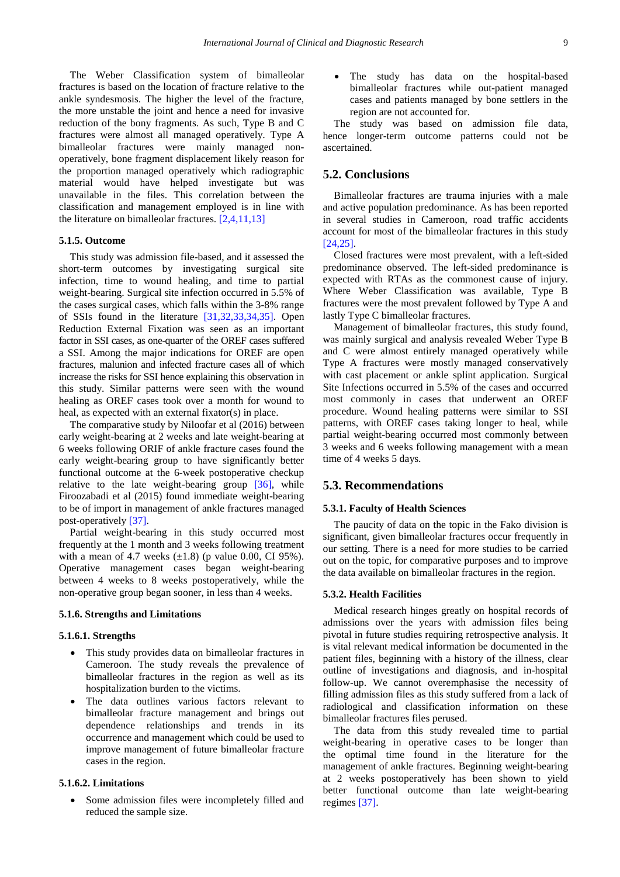The Weber Classification system of bimalleolar fractures is based on the location of fracture relative to the ankle syndesmosis. The higher the level of the fracture, the more unstable the joint and hence a need for invasive reduction of the bony fragments. As such, Type B and C fractures were almost all managed operatively. Type A bimalleolar fractures were mainly managed nonoperatively, bone fragment displacement likely reason for the proportion managed operatively which radiographic material would have helped investigate but was unavailable in the files. This correlation between the classification and management employed is in line with the literature on bimalleolar fractures. [\[2,4,11,13\]](#page-9-23)

#### **5.1.5. Outcome**

This study was admission file-based, and it assessed the short-term outcomes by investigating surgical site infection, time to wound healing, and time to partial weight-bearing. Surgical site infection occurred in 5.5% of the cases surgical cases, which falls within the 3-8% range of SSIs found in the literature [\[31,32,33,34,35\].](#page-9-24) Open Reduction External Fixation was seen as an important factor in SSI cases, as one-quarter of the OREF cases suffered a SSI. Among the major indications for OREF are open fractures, malunion and infected fracture cases all of which increase the risks for SSI hence explaining this observation in this study. Similar patterns were seen with the wound healing as OREF cases took over a month for wound to heal, as expected with an external fixator(s) in place.

The comparative study by Niloofar et al (2016) between early weight-bearing at 2 weeks and late weight-bearing at 6 weeks following ORIF of ankle fracture cases found the early weight-bearing group to have significantly better functional outcome at the 6-week postoperative checkup relative to the late weight-bearing group  $[36]$ , while Firoozabadi et al (2015) found immediate weight-bearing to be of import in management of ankle fractures managed post-operatively [\[37\].](#page-9-26)

Partial weight-bearing in this study occurred most frequently at the 1 month and 3 weeks following treatment with a mean of 4.7 weeks  $(\pm 1.8)$  (p value 0.00, CI 95%). Operative management cases began weight-bearing between 4 weeks to 8 weeks postoperatively, while the non-operative group began sooner, in less than 4 weeks.

#### **5.1.6. Strengths and Limitations**

#### **5.1.6.1. Strengths**

- This study provides data on bimalleolar fractures in Cameroon. The study reveals the prevalence of bimalleolar fractures in the region as well as its hospitalization burden to the victims.
- The data outlines various factors relevant to bimalleolar fracture management and brings out dependence relationships and trends in its occurrence and management which could be used to improve management of future bimalleolar fracture cases in the region.

#### **5.1.6.2. Limitations**

• Some admission files were incompletely filled and reduced the sample size.

• The study has data on the hospital-based bimalleolar fractures while out-patient managed cases and patients managed by bone settlers in the region are not accounted for.

The study was based on admission file data, hence longer-term outcome patterns could not be ascertained.

### **5.2. Conclusions**

Bimalleolar fractures are trauma injuries with a male and active population predominance. As has been reported in several studies in Cameroon, road traffic accidents account for most of the bimalleolar fractures in this study [\[24,25\].](#page-9-16)

Closed fractures were most prevalent, with a left-sided predominance observed. The left-sided predominance is expected with RTAs as the commonest cause of injury. Where Weber Classification was available, Type B fractures were the most prevalent followed by Type A and lastly Type C bimalleolar fractures.

Management of bimalleolar fractures, this study found, was mainly surgical and analysis revealed Weber Type B and C were almost entirely managed operatively while Type A fractures were mostly managed conservatively with cast placement or ankle splint application. Surgical Site Infections occurred in 5.5% of the cases and occurred most commonly in cases that underwent an OREF procedure. Wound healing patterns were similar to SSI patterns, with OREF cases taking longer to heal, while partial weight-bearing occurred most commonly between 3 weeks and 6 weeks following management with a mean time of 4 weeks 5 days.

### **5.3. Recommendations**

#### **5.3.1. Faculty of Health Sciences**

The paucity of data on the topic in the Fako division is significant, given bimalleolar fractures occur frequently in our setting. There is a need for more studies to be carried out on the topic, for comparative purposes and to improve the data available on bimalleolar fractures in the region.

#### **5.3.2. Health Facilities**

Medical research hinges greatly on hospital records of admissions over the years with admission files being pivotal in future studies requiring retrospective analysis. It is vital relevant medical information be documented in the patient files, beginning with a history of the illness, clear outline of investigations and diagnosis, and in-hospital follow-up. We cannot overemphasise the necessity of filling admission files as this study suffered from a lack of radiological and classification information on these bimalleolar fractures files perused.

The data from this study revealed time to partial weight-bearing in operative cases to be longer than the optimal time found in the literature for the management of ankle fractures. Beginning weight-bearing at 2 weeks postoperatively has been shown to yield better functional outcome than late weight-bearing regimes [\[37\].](#page-9-26)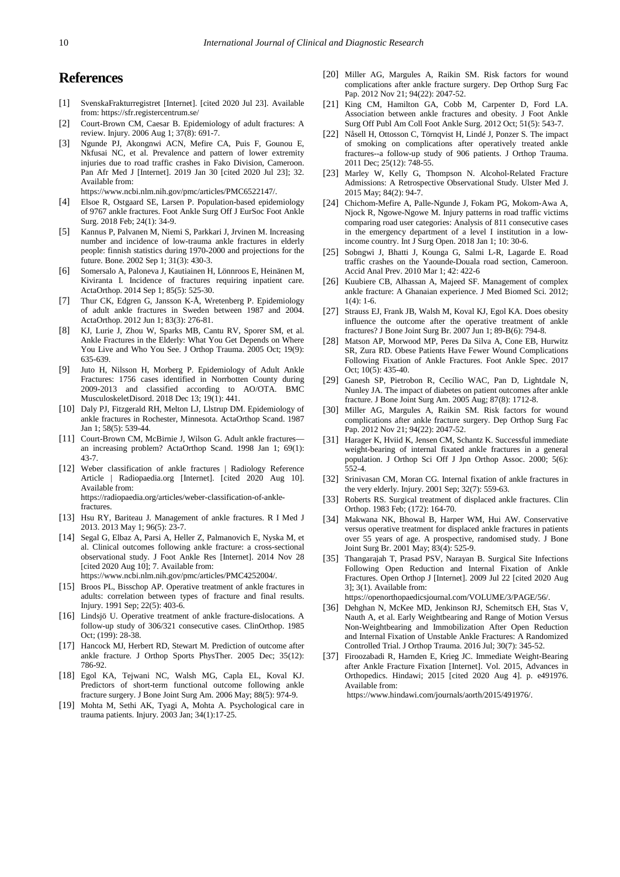# **References**

- <span id="page-9-0"></span>[1] SvenskaFrakturregistret [Internet]. [cited 2020 Jul 23]. Available from: https://sfr.registercentrum.se/
- <span id="page-9-23"></span>[2] Court-Brown CM, Caesar B. Epidemiology of adult fractures: A review. Injury. 2006 Aug 1; 37(8): 691-7.
- <span id="page-9-15"></span>[3] Ngunde PJ, Akongnwi ACN, Mefire CA, Puis F, Gounou E, Nkfusai NC, et al. Prevalence and pattern of lower extremity injuries due to road traffic crashes in Fako Division, Cameroon. Pan Afr Med J [Internet]. 2019 Jan 30 [cited 2020 Jul 23]; 32. Available from:

https://www.ncbi.nlm.nih.gov/pmc/articles/PMC6522147/.

- <span id="page-9-1"></span>[4] Elsoe R, Ostgaard SE, Larsen P. Population-based epidemiology of 9767 ankle fractures. Foot Ankle Surg Off J EurSoc Foot Ankle Surg. 2018 Feb; 24(1): 34-9.
- [5] Kannus P, Palvanen M, Niemi S, Parkkari J, Jrvinen M. Increasing number and incidence of low-trauma ankle fractures in elderly people: finnish statistics during 1970-2000 and projections for the future. Bone. 2002 Sep 1; 31(3): 430-3.
- <span id="page-9-2"></span>[6] Somersalo A, Paloneva J, Kautiainen H, Lönnroos E, Heinänen M, Kiviranta I. Incidence of fractures requiring inpatient care. ActaOrthop. 2014 Sep 1; 85(5): 525-30.
- <span id="page-9-4"></span>[7] Thur CK, Edgren G, Jansson K-Å, Wretenberg P. Epidemiology of adult ankle fractures in Sweden between 1987 and 2004. ActaOrthop. 2012 Jun 1; 83(3): 276-81.
- [8] KJ, Lurie J, Zhou W, Sparks MB, Cantu RV, Sporer SM, et al. Ankle Fractures in the Elderly: What You Get Depends on Where You Live and Who You See. J Orthop Trauma. 2005 Oct; 19(9): 635-639.
- <span id="page-9-22"></span>[9] Juto H, Nilsson H, Morberg P. Epidemiology of Adult Ankle Fractures: 1756 cases identified in Norrbotten County during 2009-2013 and classified according to AO/OTA. BMC MusculoskeletDisord. 2018 Dec 13; 19(1): 441.
- <span id="page-9-3"></span>[10] Daly PJ, Fitzgerald RH, Melton LJ, Llstrup DM. Epidemiology of ankle fractures in Rochester, Minnesota. ActaOrthop Scand. 1987 Jan 1; 58(5): 539-44.
- <span id="page-9-21"></span>[11] Court-Brown CM, McBirnie J, Wilson G. Adult ankle fractures an increasing problem? ActaOrthop Scand. 1998 Jan 1; 69(1): 43-7.
- <span id="page-9-5"></span>[12] Weber classification of ankle fractures | Radiology Reference Article | Radiopaedia.org [Internet]. [cited 2020 Aug 10]. Available from: https://radiopaedia.org/articles/weber-classification-of-anklefractures.
- <span id="page-9-6"></span>[13] Hsu RY, Bariteau J. Management of ankle fractures. R I Med J 2013. 2013 May 1; 96(5): 23-7.
- <span id="page-9-7"></span>[14] Segal G, Elbaz A, Parsi A, Heller Z, Palmanovich E, Nyska M, et al. Clinical outcomes following ankle fracture: a cross-sectional observational study. J Foot Ankle Res [Internet]. 2014 Nov 28 [cited 2020 Aug 10]; 7. Available from: https://www.ncbi.nlm.nih.gov/pmc/articles/PMC4252004/.
- <span id="page-9-8"></span>[15] Broos PL, Bisschop AP. Operative treatment of ankle fractures in adults: correlation between types of fracture and final results. Injury. 1991 Sep; 22(5): 403-6.
- [16] Lindsjö U. Operative treatment of ankle fracture-dislocations. A follow-up study of 306/321 consecutive cases. ClinOrthop. 1985 Oct; (199): 28-38.
- [17] Hancock MJ, Herbert RD, Stewart M. Prediction of outcome after ankle fracture. J Orthop Sports PhysTher. 2005 Dec; 35(12): 786-92.
- <span id="page-9-9"></span>[18] Egol KA, Tejwani NC, Walsh MG, Capla EL, Koval KJ. Predictors of short-term functional outcome following ankle fracture surgery. J Bone Joint Surg Am. 2006 May; 88(5): 974-9.
- <span id="page-9-10"></span>[19] Mohta M, Sethi AK, Tyagi A, Mohta A. Psychological care in trauma patients. Injury. 2003 Jan; 34(1):17-25.
- <span id="page-9-11"></span>[20] Miller AG, Margules A, Raikin SM. Risk factors for wound complications after ankle fracture surgery. Dep Orthop Surg Fac Pap. 2012 Nov 21; 94(22): 2047-52.
- <span id="page-9-12"></span>[21] King CM, Hamilton GA, Cobb M, Carpenter D, Ford LA. Association between ankle fractures and obesity. J Foot Ankle Surg Off Publ Am Coll Foot Ankle Surg. 2012 Oct; 51(5): 543-7.
- <span id="page-9-13"></span>[22] Nåsell H, Ottosson C, Törnqvist H, Lindé J, Ponzer S. The impact of smoking on complications after operatively treated ankle fractures--a follow-up study of 906 patients. J Orthop Trauma. 2011 Dec; 25(12): 748-55.
- <span id="page-9-14"></span>[23] Marley W, Kelly G, Thompson N. Alcohol-Related Fracture Admissions: A Retrospective Observational Study. Ulster Med J. 2015 May; 84(2): 94-7.
- <span id="page-9-16"></span>[24] Chichom-Mefire A, Palle-Ngunde J, Fokam PG, Mokom-Awa A, Njock R, Ngowe-Ngowe M. Injury patterns in road traffic victims comparing road user categories: Analysis of 811 consecutive cases in the emergency department of a level I institution in a lowincome country. Int J Surg Open. 2018 Jan 1; 10: 30-6.
- [25] Sobngwi J, Bhatti J, Kounga G, Salmi L-R, Lagarde E. Road traffic crashes on the Yaounde-Douala road section, Cameroon. Accid Anal Prev. 2010 Mar 1; 42: 422-6
- <span id="page-9-17"></span>[26] Kuubiere CB, Alhassan A, Majeed SF. Management of complex ankle fracture: A Ghanaian experience. J Med Biomed Sci. 2012;  $1(4): 1-6.$
- <span id="page-9-18"></span>[27] Strauss EJ, Frank JB, Walsh M, Koval KJ, Egol KA. Does obesity influence the outcome after the operative treatment of ankle fractures? J Bone Joint Surg Br. 2007 Jun 1; 89-B(6): 794-8.
- <span id="page-9-19"></span>[28] Matson AP, Morwood MP, Peres Da Silva A, Cone EB, Hurwitz SR, Zura RD. Obese Patients Have Fewer Wound Complications Following Fixation of Ankle Fractures. Foot Ankle Spec. 2017 Oct; 10(5): 435-40.
- <span id="page-9-20"></span>[29] Ganesh SP, Pietrobon R, Cecílio WAC, Pan D, Lightdale N, Nunley JA. The impact of diabetes on patient outcomes after ankle fracture. J Bone Joint Surg Am. 2005 Aug; 87(8): 1712-8.
- [30] Miller AG, Margules A, Raikin SM. Risk factors for wound complications after ankle fracture surgery. Dep Orthop Surg Fac Pap. 2012 Nov 21; 94(22): 2047-52.
- <span id="page-9-24"></span>[31] Harager K, Hviid K, Jensen CM, Schantz K. Successful immediate weight-bearing of internal fixated ankle fractures in a general population. J Orthop Sci Off J Jpn Orthop Assoc. 2000; 5(6): 552-4.
- [32] Srinivasan CM, Moran CG. Internal fixation of ankle fractures in the very elderly. Injury. 2001 Sep; 32(7): 559-63.
- [33] Roberts RS. Surgical treatment of displaced ankle fractures. Clin Orthop. 1983 Feb; (172): 164-70.
- [34] Makwana NK, Bhowal B, Harper WM, Hui AW. Conservative versus operative treatment for displaced ankle fractures in patients over 55 years of age. A prospective, randomised study. J Bone Joint Surg Br. 2001 May; 83(4): 525-9.
- [35] Thangarajah T, Prasad PSV, Narayan B, Surgical Site Infections Following Open Reduction and Internal Fixation of Ankle Fractures. Open Orthop J [Internet]. 2009 Jul 22 [cited 2020 Aug 3]; 3(1). Available from: https://openorthopaedicsjournal.com/VOLUME/3/PAGE/56/.

- <span id="page-9-25"></span>[36] Dehghan N, McKee MD, Jenkinson RJ, Schemitsch EH, Stas V, Nauth A, et al. Early Weightbearing and Range of Motion Versus Non-Weightbearing and Immobilization After Open Reduction and Internal Fixation of Unstable Ankle Fractures: A Randomized Controlled Trial. J Orthop Trauma. 2016 Jul; 30(7): 345-52.
- <span id="page-9-26"></span>[37] Firoozabadi R, Harnden E, Krieg JC. Immediate Weight-Bearing after Ankle Fracture Fixation [Internet]. Vol. 2015, Advances in Orthopedics. Hindawi; 2015 [cited 2020 Aug 4]. p. e491976. Available from:

https://www.hindawi.com/journals/aorth/2015/491976/.